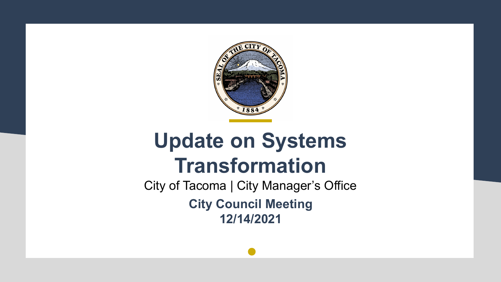

## **Update on Systems Transformation**

City of Tacoma | City Manager's Office **City Council Meeting 12/14/2021**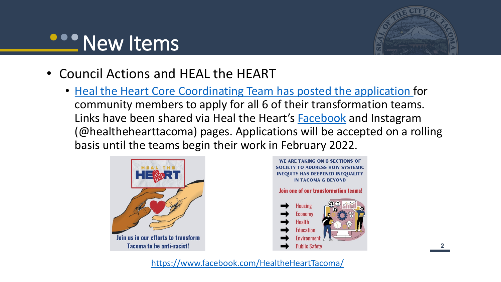## **PROPERTY PROPERTY**



- Council Actions and HEAL the HEART
	- [Heal the Heart Core Coordinating Team has posted the application](https://docs.google.com/forms/d/e/1FAIpQLScOXlQyhDuxL1YhR8TrZ07navg_b3k5C2cqMHoYP-7kD2xgYA/viewform?fbclid=IwAR2UfxmZNmhjsiQw_ySKxu0m6-LVKK8JMRYeecea_sxyB5U15kIMfKCnNXg) for community members to apply for all 6 of their transformation teams. Links have been shared via Heal the Heart's **Facebook** and Instagram (@healthehearttacoma) pages. Applications will be accepted on a rolling basis until the teams begin their work in February 2022.





<https://www.facebook.com/HealtheHeartTacoma/>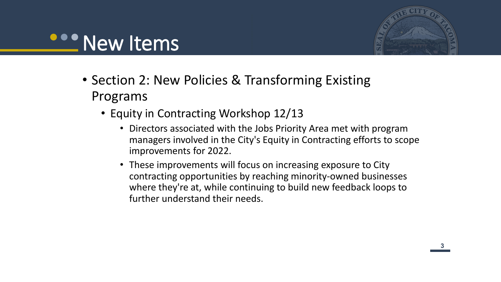#### **COO New Items**



- Section 2: New Policies & Transforming Existing Programs
	- Equity in Contracting Workshop 12/13
		- Directors associated with the Jobs Priority Area met with program managers involved in the City's Equity in Contracting efforts to scope improvements for 2022.
		- These improvements will focus on increasing exposure to City contracting opportunities by reaching minority-owned businesses where they're at, while continuing to build new feedback loops to further understand their needs.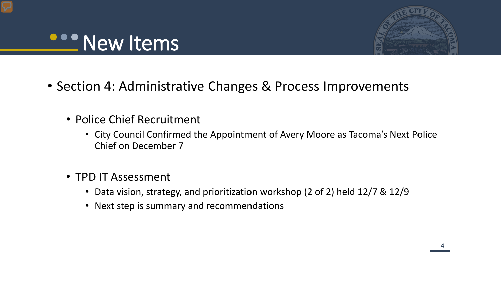#### **OPPENEW Items**



**44**

- Section 4: Administrative Changes & Process Improvements
	- Police Chief Recruitment
		- City Council Confirmed the Appointment of Avery Moore as Tacoma's Next Police Chief on December 7
	- TPD IT Assessment
		- Data vision, strategy, and prioritization workshop (2 of 2) held 12/7 & 12/9
		- Next step is summary and recommendations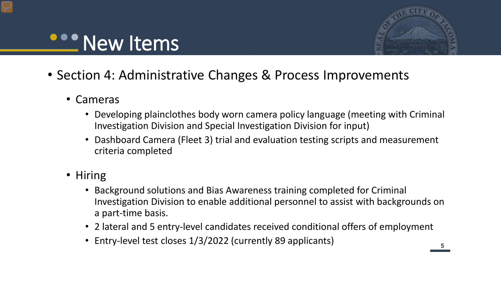# **Properties**



- Section 4: Administrative Changes & Process Improvements
	- Cameras
		- Developing plainclothes body worn camera policy language (meeting with Criminal Investigation Division and Special Investigation Division for input)
		- Dashboard Camera (Fleet 3) trial and evaluation testing scripts and measurement criteria completed
	- Hiring
		- Background solutions and Bias Awareness training completed for Criminal Investigation Division to enable additional personnel to assist with backgrounds on a part-time basis.
		- 2 lateral and 5 entry-level candidates received conditional offers of employment
		- Entry-level test closes 1/3/2022 (currently 89 applicants)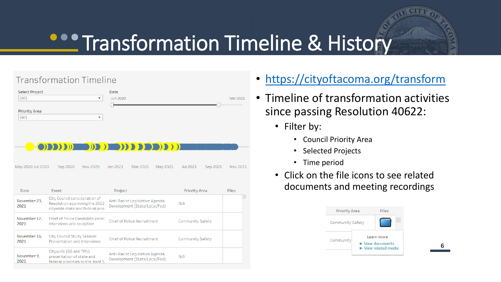# **COO Transformation Timeline & History**

#### **Transformation Timeline**

| <b>Select Project</b><br>(A  ) | Date<br>Jun 2020<br>$\overline{\phantom{a}}$ | Nov 2021 |
|--------------------------------|----------------------------------------------|----------|
| <b>Priority Area</b><br>(A  )  | $\check{}$                                   |          |
|                                |                                              |          |
|                                |                                              |          |
|                                | <b>ODDDDEN IN AN INDIANA</b>                 |          |

Sep 2020 Nov 2020 Jan 2021 Mar 2021 May 2021 May 2020 Jul 2020 Jul 2021 Sep 2021 Nov 2021

| Date                 | Event                                                                                             | Project                                                         | <b>Priority Area</b>    | <b>Files</b> |
|----------------------|---------------------------------------------------------------------------------------------------|-----------------------------------------------------------------|-------------------------|--------------|
| November 23,<br>2021 | City Council consideration of<br>Resolution approving the 2022<br>citywide state and federal prio | Anti-Racist Legislative Agenda<br>Development (State/Local/Fed) | N/A                     |              |
| November 17,<br>2021 | Chief of Police Candidate panel<br>interviews and reception                                       | <b>Chief of Police Recruitment</b>                              | <b>Community Safety</b> |              |
| November 16,<br>2021 | <b>City Council Study Session</b><br>Presentation and Interviews                                  | <b>Chief of Police Recruitment</b>                              | <b>Community Safety</b> |              |
| November 9,<br>2021  | Citywide (GG and TPU)<br>presentation of state and<br>federal priorities to the Joint S           | Anti-Racist Legislative Agenda<br>Development (State/Local/Fed) | N/A                     |              |

- <https://cityoftacoma.org/transform>
- Timeline of transformation activities since passing Resolution 40622:
	- Filter by:
		- Council Priority Area
		- Selected Projects
		- Time period
	- Click on the file icons to see related documents and meeting recordings



**66**